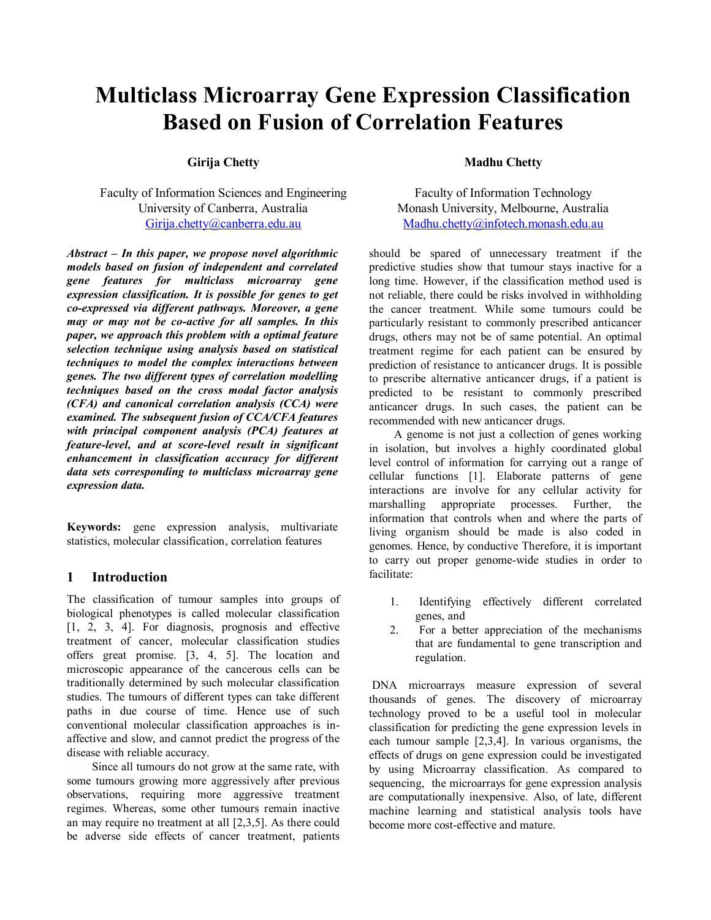# **Multiclass Microarray Gene Expression Classification Based on Fusion of Correlation Features**

## **Girija Chetty**

Faculty of Information Sciences and Engineering University of Canberra, Australia Girija.chetty@canberra.edu.au

*Abstract – In this paper, we propose novel algorithmic models based on fusion of independent and correlated gene features for multiclass microarray gene expression classification. It is possible for genes to get co-expressed via different pathways. Moreover, a gene may or may not be co-active for all samples. In this paper, we approach this problem with a optimal feature selection technique using analysis based on statistical techniques to model the complex interactions between genes. The two different types of correlation modelling techniques based on the cross modal factor analysis (CFA) and canonical correlation analysis (CCA) were examined. The subsequent fusion of CCA/CFA features with principal component analysis (PCA) features at feature-level, and at score-level result in significant enhancement in classification accuracy for different data sets corresponding to multiclass microarray gene expression data.* 

**Keywords:** gene expression analysis, multivariate statistics, molecular classification, correlation features

### **1 Introduction**

The classification of tumour samples into groups of biological phenotypes is called molecular classification [1, 2, 3, 4]. For diagnosis, prognosis and effective treatment of cancer, molecular classification studies offers great promise. [3, 4, 5]. The location and microscopic appearance of the cancerous cells can be traditionally determined by such molecular classification studies. The tumours of different types can take different paths in due course of time. Hence use of such conventional molecular classification approaches is inaffective and slow, and cannot predict the progress of the disease with reliable accuracy.

 Since all tumours do not grow at the same rate, with some tumours growing more aggressively after previous observations, requiring more aggressive treatment regimes. Whereas, some other tumours remain inactive an may require no treatment at all [2,3,5]. As there could be adverse side effects of cancer treatment, patients

#### **Madhu Chetty**

Faculty of Information Technology Monash University, Melbourne, Australia Madhu.chetty@infotech.monash.edu.au

should be spared of unnecessary treatment if the predictive studies show that tumour stays inactive for a long time. However, if the classification method used is not reliable, there could be risks involved in withholding the cancer treatment. While some tumours could be particularly resistant to commonly prescribed anticancer drugs, others may not be of same potential. An optimal treatment regime for each patient can be ensured by prediction of resistance to anticancer drugs. It is possible to prescribe alternative anticancer drugs, if a patient is predicted to be resistant to commonly prescribed anticancer drugs. In such cases, the patient can be recommended with new anticancer drugs.

 A genome is not just a collection of genes working in isolation, but involves a highly coordinated global level control of information for carrying out a range of cellular functions [1]. Elaborate patterns of gene interactions are involve for any cellular activity for marshalling appropriate processes. Further, the information that controls when and where the parts of living organism should be made is also coded in genomes. Hence, by conductive Therefore, it is important to carry out proper genome-wide studies in order to facilitate:

- 1. Identifying effectively different correlated genes, and
- 2. For a better appreciation of the mechanisms that are fundamental to gene transcription and regulation.

 DNA microarrays measure expression of several thousands of genes. The discovery of microarray technology proved to be a useful tool in molecular classification for predicting the gene expression levels in each tumour sample [2,3,4]. In various organisms, the effects of drugs on gene expression could be investigated by using Microarray classification. As compared to sequencing, the microarrays for gene expression analysis are computationally inexpensive. Also, of late, different machine learning and statistical analysis tools have become more cost-effective and mature.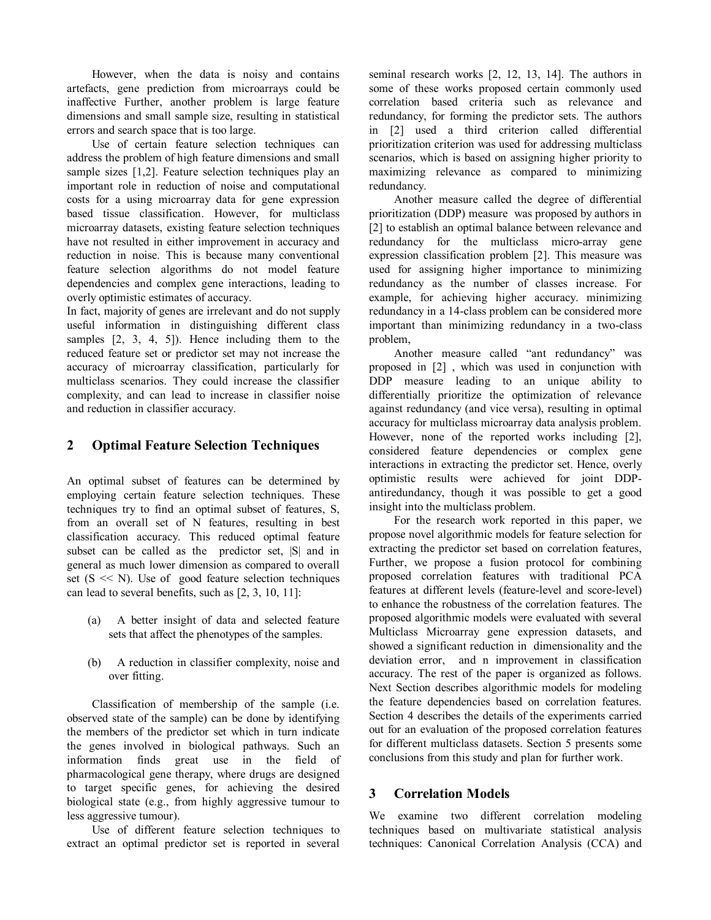However, when the data is noisy and contains artefacts, gene prediction from microarrays could be inaffective Further, another problem is large feature dimensions and small sample size, resulting in statistical errors and search space that is too large.

 Use of certain feature selection techniques can address the problem of high feature dimensions and small sample sizes [1,2]. Feature selection techniques play an important role in reduction of noise and computational costs for a using microarray data for gene expression based tissue classification. However, for multiclass microarray datasets, existing feature selection techniques have not resulted in either improvement in accuracy and reduction in noise. This is because many conventional feature selection algorithms do not model feature dependencies and complex gene interactions, leading to overly optimistic estimates of accuracy.

In fact, majority of genes are irrelevant and do not supply useful information in distinguishing different class samples  $[2, 3, 4, 5]$ ). Hence including them to the reduced feature set or predictor set may not increase the accuracy of microarray classification, particularly for multiclass scenarios. They could increase the classifier complexity, and can lead to increase in classifier noise and reduction in classifier accuracy.

# **2 Optimal Feature Selection Techniques**

An optimal subset of features can be determined by employing certain feature selection techniques. These techniques try to find an optimal subset of features, S, from an overall set of N features, resulting in best classification accuracy. This reduced optimal feature subset can be called as the predictor set,  $|S|$  and in general as much lower dimension as compared to overall set  $(S \ll N)$ . Use of good feature selection techniques can lead to several benefits, such as [2, 3, 10, 11]:

- (a) A better insight of data and selected feature sets that affect the phenotypes of the samples.
- (b) A reduction in classifier complexity, noise and over fitting.

 Classification of membership of the sample (i.e. observed state of the sample) can be done by identifying the members of the predictor set which in turn indicate the genes involved in biological pathways. Such an information finds great use in the field of pharmacological gene therapy, where drugs are designed to target specific genes, for achieving the desired biological state (e.g., from highly aggressive tumour to less aggressive tumour).

 Use of different feature selection techniques to extract an optimal predictor set is reported in several

seminal research works [2, 12, 13, 14]. The authors in some of these works proposed certain commonly used correlation based criteria such as relevance and redundancy, for forming the predictor sets. The authors in [2] used a third criterion called differential prioritization criterion was used for addressing multiclass scenarios, which is based on assigning higher priority to maximizing relevance as compared to minimizing redundancy.

 Another measure called the degree of differential prioritization (DDP) measure was proposed by authors in [2] to establish an optimal balance between relevance and redundancy for the multiclass micro-array gene expression classification problem [2]. This measure was used for assigning higher importance to minimizing redundancy as the number of classes increase. For example, for achieving higher accuracy. minimizing redundancy in a 14-class problem can be considered more important than minimizing redundancy in a two-class problem,

 Another measure called "ant redundancy" was proposed in [2] , which was used in conjunction with DDP measure leading to an unique ability to differentially prioritize the optimization of relevance against redundancy (and vice versa), resulting in optimal accuracy for multiclass microarray data analysis problem. However, none of the reported works including [2], considered feature dependencies or complex gene interactions in extracting the predictor set. Hence, overly optimistic results were achieved for joint DDPantiredundancy, though it was possible to get a good insight into the multiclass problem.

 For the research work reported in this paper, we propose novel algorithmic models for feature selection for extracting the predictor set based on correlation features, Further, we propose a fusion protocol for combining proposed correlation features with traditional PCA features at different levels (feature-level and score-level) to enhance the robustness of the correlation features. The proposed algorithmic models were evaluated with several Multiclass Microarray gene expression datasets, and showed a significant reduction in dimensionality and the deviation error, and n improvement in classification accuracy. The rest of the paper is organized as follows. Next Section describes algorithmic models for modeling the feature dependencies based on correlation features. Section 4 describes the details of the experiments carried out for an evaluation of the proposed correlation features for different multiclass datasets. Section 5 presents some conclusions from this study and plan for further work.

# **3 Correlation Models**

We examine two different correlation modeling techniques based on multivariate statistical analysis techniques: Canonical Correlation Analysis (CCA) and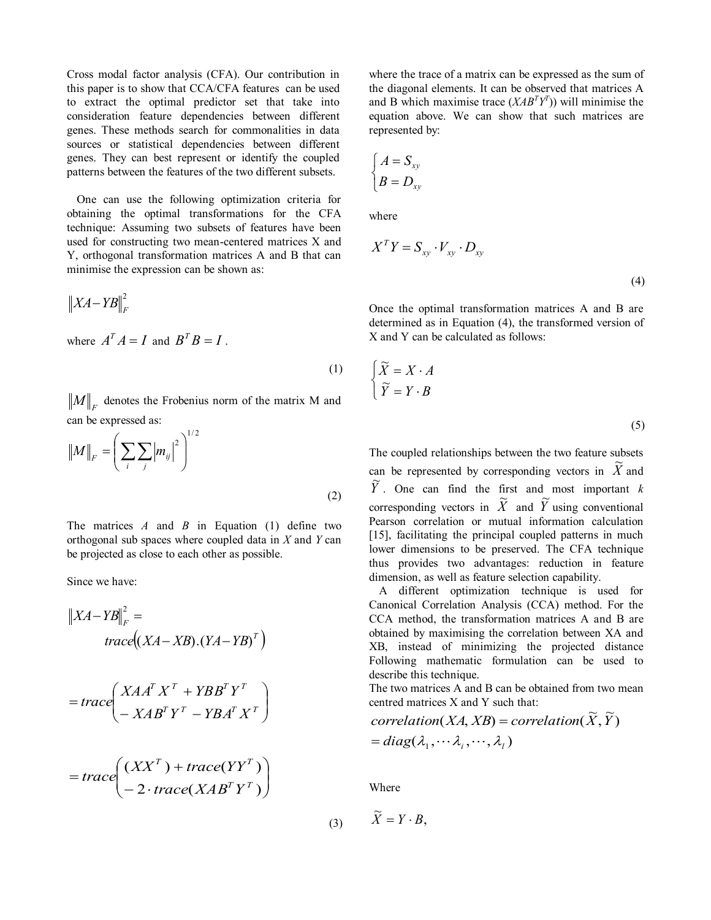Cross modal factor analysis (CFA). Our contribution in this paper is to show that CCA/CFA features can be used to extract the optimal predictor set that take into consideration feature dependencies between different genes. These methods search for commonalities in data sources or statistical dependencies between different genes. They can best represent or identify the coupled patterns between the features of the two different subsets.

One can use the following optimization criteria for obtaining the optimal transformations for the CFA technique: Assuming two subsets of features have been used for constructing two mean-centered matrices X and Y, orthogonal transformation matrices A and B that can minimise the expression can be shown as:

$$
\big\|XA - YB\big\|_F^2
$$

where  $A^T A = I$  and  $B^T B = I$ .

 $\mathcal{M}\big\|_F$  denotes the Frobenius norm of the matrix M and can be expressed as:

(1)

$$
||M||_F = \left(\sum_i \sum_j |m_{ij}|^2\right)^{1/2}
$$
 (2)

The matrices *A* and *B* in Equation (1) define two orthogonal sub spaces where coupled data in *X* and *Y* can be projected as close to each other as possible.

Since we have:

$$
||XA - YB||_F^2 =
$$
  

$$
trace((XA - XB).(YA - YB)^T)
$$

$$
=trace\left(\begin{array}{c}XAA^TX^T+YBB^TY^T\\ -XAB^TY^T-YBA^TX^T\end{array}\right)
$$

$$
= trace\left(\begin{array}{c}(XX^T) + trace(YY^T)\\ - 2 \cdot trace(XAB^TY^T)\end{array}\right)
$$

(3)

where the trace of a matrix can be expressed as the sum of the diagonal elements. It can be observed that matrices A and B which maximise trace  $(XAB^T Y^T)$  will minimise the equation above. We can show that such matrices are represented by:

$$
\begin{cases}\nA = S_{xy} \\
B = D_{xy}\n\end{cases}
$$

where

$$
X^T Y = S_{xy} \cdot V_{xy} \cdot D_{xy}
$$
\n<sup>(4)</sup>

Once the optimal transformation matrices A and B are determined as in Equation (4), the transformed version of X and Y can be calculated as follows:

$$
\begin{cases} \widetilde{X} = X \cdot A \\ \widetilde{Y} = Y \cdot B \end{cases}
$$
\n(5)

The coupled relationships between the two feature subsets can be represented by corresponding vectors in  $\tilde{X}$  and  $\widetilde{Y}$ . One can find the first and most important *k* corresponding vectors in  $\tilde{X}$  and  $\tilde{Y}$  using conventional Pearson correlation or mutual information calculation [15], facilitating the principal coupled patterns in much lower dimensions to be preserved. The CFA technique thus provides two advantages: reduction in feature dimension, as well as feature selection capability.

A different optimization technique is used for Canonical Correlation Analysis (CCA) method. For the CCA method, the transformation matrices A and B are obtained by maximising the correlation between XA and XB, instead of minimizing the projected distance Following mathematic formulation can be used to describe this technique.

The two matrices A and B can be obtained from two mean centred matrices X and Y such that:

 $= diag(\lambda_1, \cdots \lambda_i, \cdots, \lambda_l)$  $correlation(XA, XB) = correlation(\widetilde{X}, \widetilde{Y})$ 

Where

$$
\widetilde{X} = Y \cdot B,
$$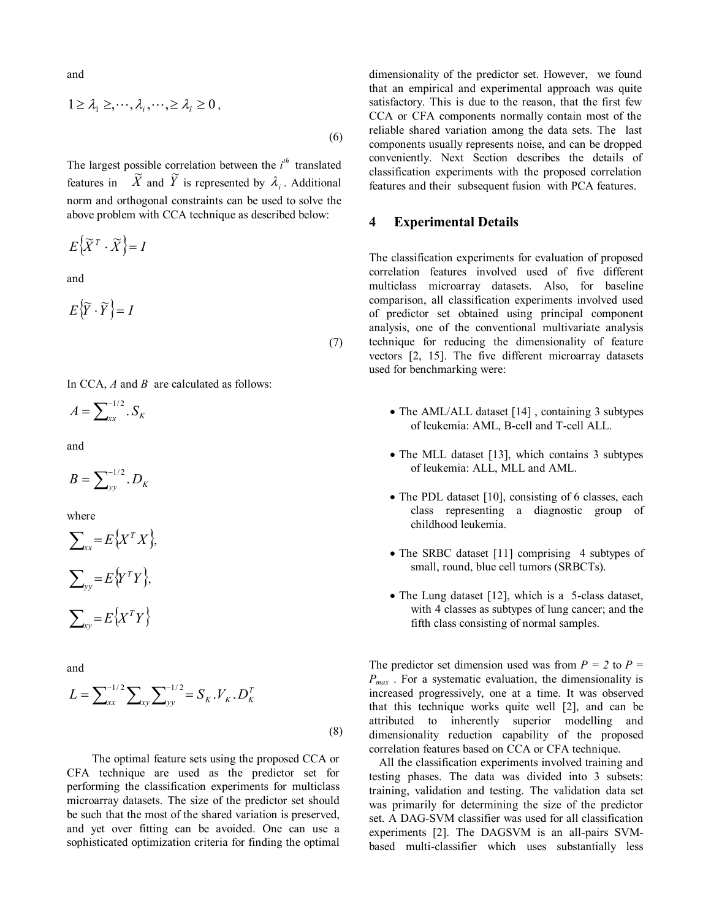and

$$
1 \geq \lambda_1 \geq, \cdots, \lambda_i, \cdots, \geq \lambda_i \geq 0,
$$
\n
$$
(6)
$$

The largest possible correlation between the  $i^{th}$  translated First target possible correlation occurs in  $\tilde{X}$  and  $\tilde{Y}$  is represented by  $\lambda_i$ . Additional norm and orthogonal constraints can be used to solve the above problem with CCA technique as described below:

$$
E\left\{ \widetilde{X}^{T}\cdot\widetilde{X}\right\} =I
$$

and

$$
E\left\{\widetilde{Y}\cdot\widetilde{Y}\right\}=I
$$
\n(7)

In CCA, *A* and *B* are calculated as follows:

$$
A=\sum\nolimits_{xx}^{-1/2}S_K
$$

and

$$
B=\sum_{yy}^{-1/2}.D_K
$$

where

$$
\sum_{xx} = E\{X^T X\},\
$$

$$
\sum_{yy} = E\{Y^T Y\},\
$$

$$
\sum_{xy} = E\{X^T Y\}
$$

and

$$
L = \sum_{xx}^{-1/2} \sum_{xy} \sum_{yy}^{-1/2} = S_K . V_K . D_K^T
$$
\n(8)

 The optimal feature sets using the proposed CCA or CFA technique are used as the predictor set for performing the classification experiments for multiclass microarray datasets. The size of the predictor set should be such that the most of the shared variation is preserved, and yet over fitting can be avoided. One can use a sophisticated optimization criteria for finding the optimal

dimensionality of the predictor set. However, we found that an empirical and experimental approach was quite satisfactory. This is due to the reason, that the first few CCA or CFA components normally contain most of the reliable shared variation among the data sets. The last components usually represents noise, and can be dropped conveniently. Next Section describes the details of classification experiments with the proposed correlation features and their subsequent fusion with PCA features.

#### **4 Experimental Details**

The classification experiments for evaluation of proposed correlation features involved used of five different multiclass microarray datasets. Also, for baseline comparison, all classification experiments involved used of predictor set obtained using principal component analysis, one of the conventional multivariate analysis technique for reducing the dimensionality of feature vectors [2, 15]. The five different microarray datasets used for benchmarking were:

- The AML/ALL dataset [14], containing 3 subtypes of leukemia: AML, B-cell and T-cell ALL.
- The MLL dataset [13], which contains 3 subtypes of leukemia: ALL, MLL and AML.
- The PDL dataset [10], consisting of 6 classes, each class representing a diagnostic group of childhood leukemia.
- The SRBC dataset [11] comprising 4 subtypes of small, round, blue cell tumors (SRBCTs).
- The Lung dataset [12], which is a 5-class dataset, with 4 classes as subtypes of lung cancer; and the fifth class consisting of normal samples.

The predictor set dimension used was from  $P = 2$  to  $P =$ *Pmax* . For a systematic evaluation, the dimensionality is increased progressively, one at a time. It was observed that this technique works quite well [2], and can be attributed to inherently superior modelling and dimensionality reduction capability of the proposed correlation features based on CCA or CFA technique.

All the classification experiments involved training and testing phases. The data was divided into 3 subsets: training, validation and testing. The validation data set was primarily for determining the size of the predictor set. A DAG-SVM classifier was used for all classification experiments [2]. The DAGSVM is an all-pairs SVMbased multi-classifier which uses substantially less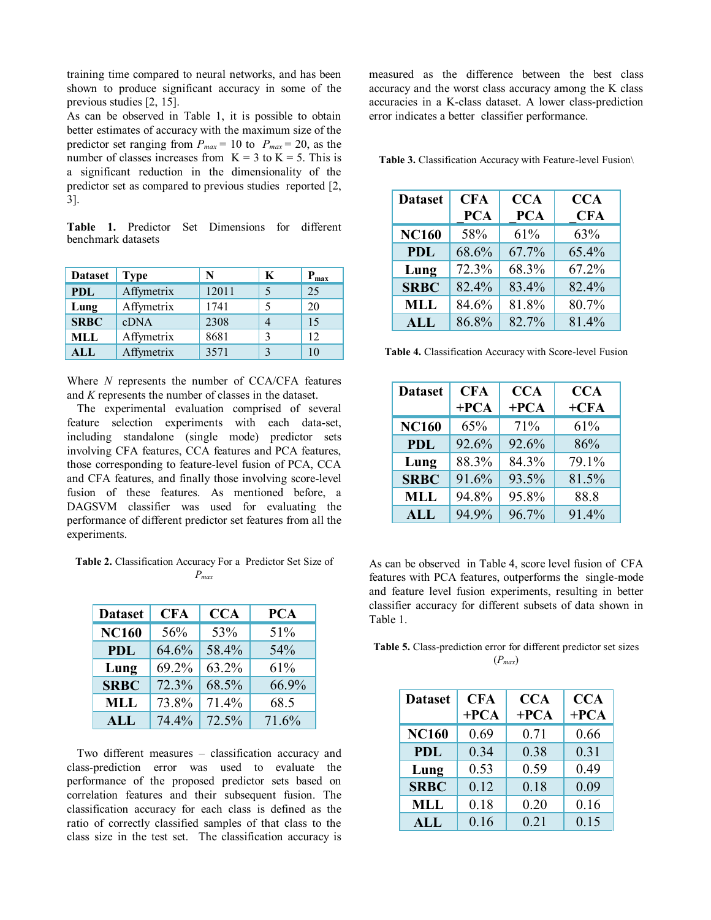training time compared to neural networks, and has been shown to produce significant accuracy in some of the previous studies [2, 15].

As can be observed in Table 1, it is possible to obtain better estimates of accuracy with the maximum size of the predictor set ranging from  $P_{max} = 10$  to  $P_{max} = 20$ , as the number of classes increases from  $K = 3$  to  $K = 5$ . This is a significant reduction in the dimensionality of the predictor set as compared to previous studies reported [2, 3].

**Table 1.** Predictor Set Dimensions for different benchmark datasets

| <b>Dataset</b> | <b>Type</b> | N     | K | $P_{max}$ |
|----------------|-------------|-------|---|-----------|
| <b>PDL</b>     | Affymetrix  | 12011 |   | 25        |
| Lung           | Affymetrix  | 1741  |   | 20        |
| <b>SRBC</b>    | cDNA        | 2308  |   | 15        |
| MLL            | Affymetrix  | 8681  | 3 | 12        |
| ALL            | Affymetrix  | 3571  |   |           |

Where *N* represents the number of CCA/CFA features and *K* represents the number of classes in the dataset.

The experimental evaluation comprised of several feature selection experiments with each data-set, including standalone (single mode) predictor sets involving CFA features, CCA features and PCA features, those corresponding to feature-level fusion of PCA, CCA and CFA features, and finally those involving score-level fusion of these features. As mentioned before, a DAGSVM classifier was used for evaluating the performance of different predictor set features from all the experiments.

**Table 2.** Classification Accuracy For a Predictor Set Size of *Pmax* 

| <b>Dataset</b> | <b>CFA</b> | <b>CCA</b> | <b>PCA</b> |
|----------------|------------|------------|------------|
| <b>NC160</b>   | 56%        | 53%        | 51%        |
| <b>PDL</b>     | 64.6%      | 58.4%      | 54%        |
| Lung           | 69.2%      | 63.2%      | 61%        |
| <b>SRBC</b>    | 72.3%      | 68.5%      | 66.9%      |
| <b>MLL</b>     | 73.8%      | 71.4%      | 68.5       |
| ALL            | 74.4%      | 72.5%      | 71.6%      |

Two different measures – classification accuracy and class-prediction error was used to evaluate the performance of the proposed predictor sets based on correlation features and their subsequent fusion. The classification accuracy for each class is defined as the ratio of correctly classified samples of that class to the class size in the test set. The classification accuracy is

measured as the difference between the best class accuracy and the worst class accuracy among the K class accuracies in a K-class dataset. A lower class-prediction error indicates a better classifier performance.

**Table 3.** Classification Accuracy with Feature-level Fusion\

| <b>Dataset</b> | <b>CFA</b><br><b>PCA</b> | <b>CCA</b><br><b>PCA</b> | <b>CCA</b><br><b>CFA</b> |
|----------------|--------------------------|--------------------------|--------------------------|
| <b>NC160</b>   | 58%                      | 61%                      | 63%                      |
| <b>PDL</b>     | 68.6%                    | 67.7%                    | 65.4%                    |
| Lung           | 72.3%                    | 68.3%                    | 67.2%                    |
| <b>SRBC</b>    | 82.4%                    | 83.4%                    | 82.4%                    |
| <b>MLL</b>     | 84.6%                    | 81.8%                    | 80.7%                    |
| <b>ALL</b>     | 86.8%                    | 82.7%                    | 81.4%                    |

**Table 4.** Classification Accuracy with Score-level Fusion

| <b>Dataset</b> | <b>CFA</b> | <b>CCA</b> | <b>CCA</b> |
|----------------|------------|------------|------------|
|                | $+PCA$     | $+PCA$     | $+$ CFA    |
| <b>NC160</b>   | 65%        | 71%        | 61%        |
| <b>PDL</b>     | 92.6%      | 92.6%      | 86%        |
| Lung           | 88.3%      | 84.3%      | 79.1%      |
| <b>SRBC</b>    | 91.6%      | 93.5%      | 81.5%      |
| <b>MLL</b>     | 94.8%      | 95.8%      | 88.8       |
| <b>ALL</b>     | 94.9%      | 96.7%      | 91.4%      |

As can be observed in Table 4, score level fusion of CFA features with PCA features, outperforms the single-mode and feature level fusion experiments, resulting in better classifier accuracy for different subsets of data shown in Table 1.

**Table 5.** Class-prediction error for different predictor set sizes (*Pmax*)

| <b>Dataset</b> | <b>CFA</b> | <b>CCA</b> | <b>CCA</b> |
|----------------|------------|------------|------------|
|                | $+PCA$     | $+PCA$     | $+PCA$     |
| <b>NC160</b>   | 0.69       | 0.71       | 0.66       |
| <b>PDL</b>     | 0.34       | 0.38       | 0.31       |
| Lung           | 0.53       | 0.59       | 0.49       |
| <b>SRBC</b>    | 0.12       | 0.18       | 0.09       |
| <b>MLL</b>     | 0.18       | 0.20       | 0.16       |
| <b>ALL</b>     | 0.16       | 0.21       | 0.15       |